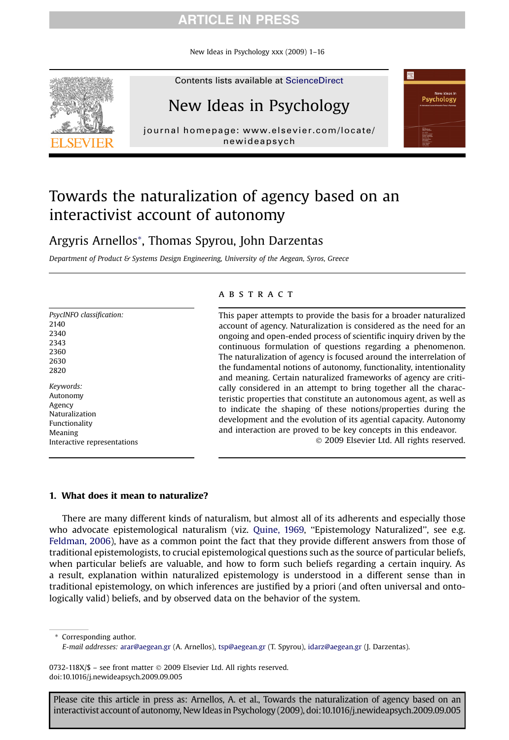New Ideas in Psychology xxx (2009) 1–16



Contents lists available at [ScienceDirect](www.sciencedirect.com/science/journal/0732118X)

# New Ideas in Psychology

journal homepage: www.elsevier.com/locate/ newideapsych

# Towards the naturalization of agency based on an interactivist account of autonomy

## Argyris Arnellos\*, Thomas Spyrou, John Darzentas

Department of Product & Systems Design Engineering, University of the Aegean, Syros, Greece

| PsycINFO classification:    |
|-----------------------------|
| 2140                        |
| 2340                        |
| 2343                        |
| 2360                        |
| 2630                        |
| 2820                        |
|                             |
| Keywords:                   |
| Autonomy                    |
| Agency                      |
| Naturalization              |
| Functionality               |
| Meaning                     |
| Interactive representations |

### **ABSTRACT**

This paper attempts to provide the basis for a broader naturalized account of agency. Naturalization is considered as the need for an ongoing and open-ended process of scientific inquiry driven by the continuous formulation of questions regarding a phenomenon. The naturalization of agency is focused around the interrelation of the fundamental notions of autonomy, functionality, intentionality and meaning. Certain naturalized frameworks of agency are critically considered in an attempt to bring together all the characteristic properties that constitute an autonomous agent, as well as to indicate the shaping of these notions/properties during the development and the evolution of its agential capacity. Autonomy and interaction are proved to be key concepts in this endeavor. © 2009 Elsevier Ltd. All rights reserved.

**Psychology** 

#### 1. What does it mean to naturalize?

There are many different kinds of naturalism, but almost all of its adherents and especially those who advocate epistemological naturalism (viz. [Quine, 1969,](#page-15-0) ''Epistemology Naturalized'', see e.g. [Feldman, 2006\)](#page-15-0), have as a common point the fact that they provide different answers from those of traditional epistemologists, to crucial epistemological questions such as the source of particular beliefs, when particular beliefs are valuable, and how to form such beliefs regarding a certain inquiry. As a result, explanation within naturalized epistemology is understood in a different sense than in traditional epistemology, on which inferences are justified by a priori (and often universal and ontologically valid) beliefs, and by observed data on the behavior of the system.

\* Corresponding author. E-mail addresses: [arar@aegean.gr](mailto:arar@aegean.gr) (A. Arnellos), [tsp@aegean.gr](mailto:tsp@aegean.gr) (T. Spyrou), [idarz@aegean.gr](mailto:idarz@aegean.gr) (J. Darzentas).

0732-118X/\$ – see front matter © 2009 Elsevier Ltd. All rights reserved. doi:10.1016/j.newideapsych.2009.09.005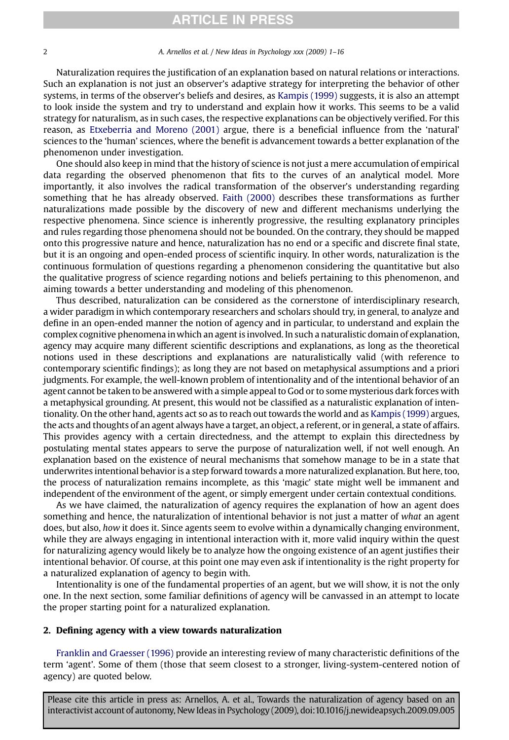2 A. Arnellos et al. / New Ideas in Psychology xxx (2009) 1–16

Naturalization requires the justification of an explanation based on natural relations or interactions. Such an explanation is not just an observer's adaptive strategy for interpreting the behavior of other systems, in terms of the observer's beliefs and desires, as [Kampis \(1999\)](#page-15-0) suggests, it is also an attempt to look inside the system and try to understand and explain how it works. This seems to be a valid strategy for naturalism, as in such cases, the respective explanations can be objectively verified. For this reason, as [Etxeberria and Moreno \(2001\)](#page-14-0) argue, there is a beneficial influence from the 'natural' sciences to the 'human' sciences, where the benefit is advancement towards a better explanation of the phenomenon under investigation.

One should also keep in mind that the history of science is not just a mere accumulation of empirical data regarding the observed phenomenon that fits to the curves of an analytical model. More importantly, it also involves the radical transformation of the observer's understanding regarding something that he has already observed. [Faith \(2000\)](#page-14-0) describes these transformations as further naturalizations made possible by the discovery of new and different mechanisms underlying the respective phenomena. Since science is inherently progressive, the resulting explanatory principles and rules regarding those phenomena should not be bounded. On the contrary, they should be mapped onto this progressive nature and hence, naturalization has no end or a specific and discrete final state, but it is an ongoing and open-ended process of scientific inquiry. In other words, naturalization is the continuous formulation of questions regarding a phenomenon considering the quantitative but also the qualitative progress of science regarding notions and beliefs pertaining to this phenomenon, and aiming towards a better understanding and modeling of this phenomenon.

Thus described, naturalization can be considered as the cornerstone of interdisciplinary research, a wider paradigm in which contemporary researchers and scholars should try, in general, to analyze and define in an open-ended manner the notion of agency and in particular, to understand and explain the complex cognitive phenomena inwhich an agent is involved. In such a naturalistic domain of explanation, agency may acquire many different scientific descriptions and explanations, as long as the theoretical notions used in these descriptions and explanations are naturalistically valid (with reference to contemporary scientific findings); as long they are not based on metaphysical assumptions and a priori judgments. For example, the well-known problem of intentionality and of the intentional behavior of an agent cannot be taken to be answered with a simple appeal to God or to some mysterious dark forces with a metaphysical grounding. At present, this would not be classified as a naturalistic explanation of intentionality. On the other hand, agents act so as to reach out towards the world and as [Kampis \(1999\)](#page-15-0) argues, the acts and thoughts of an agent always have a target, an object, a referent, or in general, a state of affairs. This provides agency with a certain directedness, and the attempt to explain this directedness by postulating mental states appears to serve the purpose of naturalization well, if not well enough. An explanation based on the existence of neural mechanisms that somehow manage to be in a state that underwrites intentional behavior is a step forward towards a more naturalized explanation. But here, too, the process of naturalization remains incomplete, as this 'magic' state might well be immanent and independent of the environment of the agent, or simply emergent under certain contextual conditions.

As we have claimed, the naturalization of agency requires the explanation of how an agent does something and hence, the naturalization of intentional behavior is not just a matter of what an agent does, but also, how it does it. Since agents seem to evolve within a dynamically changing environment, while they are always engaging in intentional interaction with it, more valid inquiry within the quest for naturalizing agency would likely be to analyze how the ongoing existence of an agent justifies their intentional behavior. Of course, at this point one may even ask if intentionality is the right property for a naturalized explanation of agency to begin with.

Intentionality is one of the fundamental properties of an agent, but we will show, it is not the only one. In the next section, some familiar definitions of agency will be canvassed in an attempt to locate the proper starting point for a naturalized explanation.

#### 2. Defining agency with a view towards naturalization

[Franklin and Graesser \(1996\)](#page-15-0) provide an interesting review of many characteristic definitions of the term 'agent'. Some of them (those that seem closest to a stronger, living-system-centered notion of agency) are quoted below.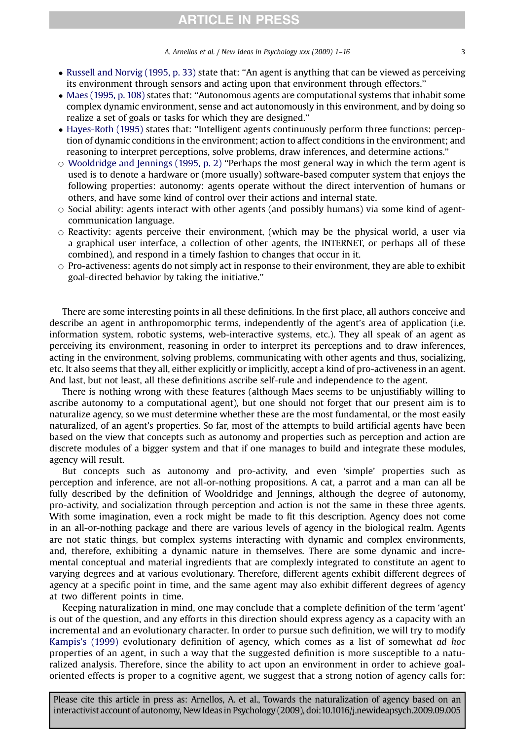- [Russell and Norvig \(1995, p. 33\)](#page-15-0) state that: ''An agent is anything that can be viewed as perceiving its environment through sensors and acting upon that environment through effectors.''
- [Maes \(1995, p. 108\)](#page-15-0) states that: ''Autonomous agents are computational systems that inhabit some complex dynamic environment, sense and act autonomously in this environment, and by doing so realize a set of goals or tasks for which they are designed.''
- [Hayes-Roth \(1995\)](#page-15-0) states that: ''Intelligent agents continuously perform three functions: perception of dynamic conditions in the environment; action to affect conditions in the environment; and reasoning to interpret perceptions, solve problems, draw inferences, and determine actions.''
- $\circ$  [Wooldridge and Jennings \(1995, p. 2\)](#page-15-0) "Perhaps the most general way in which the term agent is used is to denote a hardware or (more usually) software-based computer system that enjoys the following properties: autonomy: agents operate without the direct intervention of humans or others, and have some kind of control over their actions and internal state.
- $\circ$  Social ability: agents interact with other agents (and possibly humans) via some kind of agentcommunication language.
- $\circ$  Reactivity: agents perceive their environment, (which may be the physical world, a user via a graphical user interface, a collection of other agents, the INTERNET, or perhaps all of these combined), and respond in a timely fashion to changes that occur in it.
- $\circ$  Pro-activeness: agents do not simply act in response to their environment, they are able to exhibit goal-directed behavior by taking the initiative.''

There are some interesting points in all these definitions. In the first place, all authors conceive and describe an agent in anthropomorphic terms, independently of the agent's area of application (i.e. information system, robotic systems, web-interactive systems, etc.). They all speak of an agent as perceiving its environment, reasoning in order to interpret its perceptions and to draw inferences, acting in the environment, solving problems, communicating with other agents and thus, socializing, etc. It also seems that they all, either explicitly or implicitly, accept a kind of pro-activeness in an agent. And last, but not least, all these definitions ascribe self-rule and independence to the agent.

There is nothing wrong with these features (although Maes seems to be unjustifiably willing to ascribe autonomy to a computational agent), but one should not forget that our present aim is to naturalize agency, so we must determine whether these are the most fundamental, or the most easily naturalized, of an agent's properties. So far, most of the attempts to build artificial agents have been based on the view that concepts such as autonomy and properties such as perception and action are discrete modules of a bigger system and that if one manages to build and integrate these modules, agency will result.

But concepts such as autonomy and pro-activity, and even 'simple' properties such as perception and inference, are not all-or-nothing propositions. A cat, a parrot and a man can all be fully described by the definition of Wooldridge and Jennings, although the degree of autonomy, pro-activity, and socialization through perception and action is not the same in these three agents. With some imagination, even a rock might be made to fit this description. Agency does not come in an all-or-nothing package and there are various levels of agency in the biological realm. Agents are not static things, but complex systems interacting with dynamic and complex environments, and, therefore, exhibiting a dynamic nature in themselves. There are some dynamic and incremental conceptual and material ingredients that are complexly integrated to constitute an agent to varying degrees and at various evolutionary. Therefore, different agents exhibit different degrees of agency at a specific point in time, and the same agent may also exhibit different degrees of agency at two different points in time.

Keeping naturalization in mind, one may conclude that a complete definition of the term 'agent' is out of the question, and any efforts in this direction should express agency as a capacity with an incremental and an evolutionary character. In order to pursue such definition, we will try to modify [Kampis's \(1999\)](#page-15-0) evolutionary definition of agency, which comes as a list of somewhat ad hoc properties of an agent, in such a way that the suggested definition is more susceptible to a naturalized analysis. Therefore, since the ability to act upon an environment in order to achieve goaloriented effects is proper to a cognitive agent, we suggest that a strong notion of agency calls for: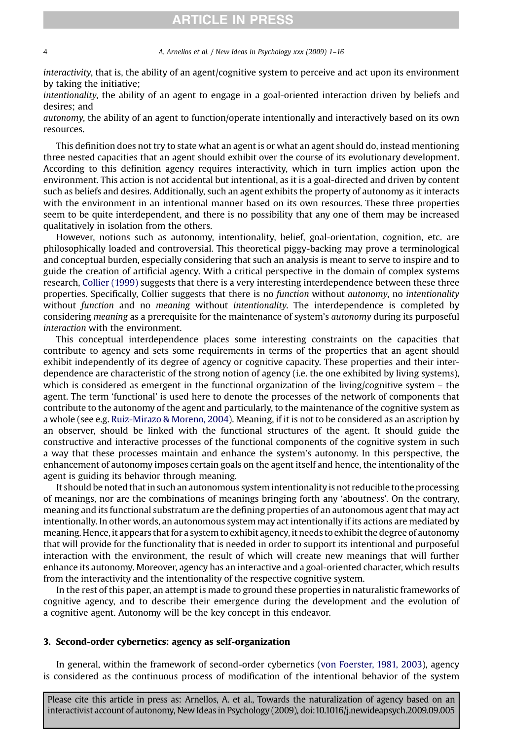interactivity, that is, the ability of an agent/cognitive system to perceive and act upon its environment by taking the initiative;

intentionality, the ability of an agent to engage in a goal-oriented interaction driven by beliefs and desires; and

autonomy, the ability of an agent to function/operate intentionally and interactively based on its own resources.

This definition does not try to state what an agent is or what an agent should do, instead mentioning three nested capacities that an agent should exhibit over the course of its evolutionary development. According to this definition agency requires interactivity, which in turn implies action upon the environment. This action is not accidental but intentional, as it is a goal-directed and driven by content such as beliefs and desires. Additionally, such an agent exhibits the property of autonomy as it interacts with the environment in an intentional manner based on its own resources. These three properties seem to be quite interdependent, and there is no possibility that any one of them may be increased qualitatively in isolation from the others.

However, notions such as autonomy, intentionality, belief, goal-orientation, cognition, etc. are philosophically loaded and controversial. This theoretical piggy-backing may prove a terminological and conceptual burden, especially considering that such an analysis is meant to serve to inspire and to guide the creation of artificial agency. With a critical perspective in the domain of complex systems research, [Collier \(1999\)](#page-14-0) suggests that there is a very interesting interdependence between these three properties. Specifically, Collier suggests that there is no function without autonomy, no intentionality without function and no meaning without intentionality. The interdependence is completed by considering meaning as a prerequisite for the maintenance of system's autonomy during its purposeful interaction with the environment.

This conceptual interdependence places some interesting constraints on the capacities that contribute to agency and sets some requirements in terms of the properties that an agent should exhibit independently of its degree of agency or cognitive capacity. These properties and their interdependence are characteristic of the strong notion of agency (i.e. the one exhibited by living systems), which is considered as emergent in the functional organization of the living/cognitive system – the agent. The term 'functional' is used here to denote the processes of the network of components that contribute to the autonomy of the agent and particularly, to the maintenance of the cognitive system as a whole (see e.g. [Ruiz-Mirazo & Moreno, 2004](#page-15-0)). Meaning, if it is not to be considered as an ascription by an observer, should be linked with the functional structures of the agent. It should guide the constructive and interactive processes of the functional components of the cognitive system in such a way that these processes maintain and enhance the system's autonomy. In this perspective, the enhancement of autonomy imposes certain goals on the agent itself and hence, the intentionality of the agent is guiding its behavior through meaning.

It should be noted that in such an autonomous systemintentionality is not reducible to the processing of meanings, nor are the combinations of meanings bringing forth any 'aboutness'. On the contrary, meaning and its functional substratum are the defining properties of an autonomous agent that may act intentionally. In other words, an autonomous system may act intentionally if its actions are mediated by meaning. Hence, it appears that for a system to exhibit agency, it needs to exhibit the degree of autonomy that will provide for the functionality that is needed in order to support its intentional and purposeful interaction with the environment, the result of which will create new meanings that will further enhance its autonomy. Moreover, agency has an interactive and a goal-oriented character, which results from the interactivity and the intentionality of the respective cognitive system.

In the rest of this paper, an attempt is made to ground these properties in naturalistic frameworks of cognitive agency, and to describe their emergence during the development and the evolution of a cognitive agent. Autonomy will be the key concept in this endeavor.

#### 3. Second-order cybernetics: agency as self-organization

In general, within the framework of second-order cybernetics ([von Foerster, 1981, 2003](#page-15-0)), agency is considered as the continuous process of modification of the intentional behavior of the system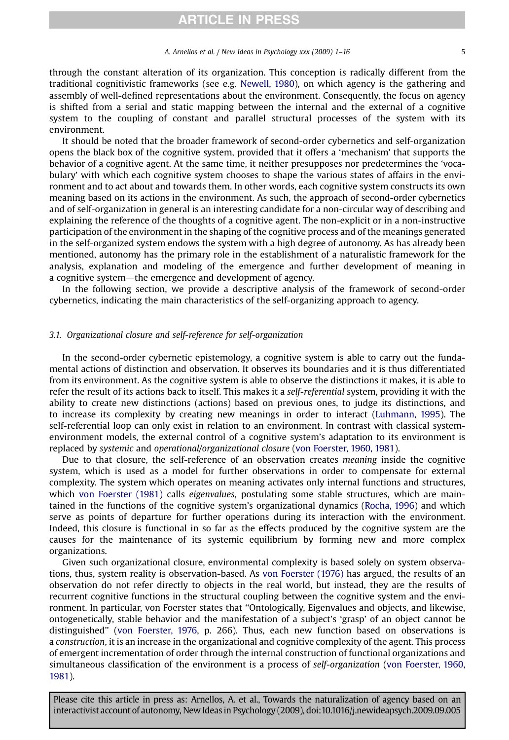<span id="page-4-0"></span>through the constant alteration of its organization. This conception is radically different from the traditional cognitivistic frameworks (see e.g. [Newell, 1980\)](#page-15-0), on which agency is the gathering and assembly of well-defined representations about the environment. Consequently, the focus on agency is shifted from a serial and static mapping between the internal and the external of a cognitive system to the coupling of constant and parallel structural processes of the system with its environment.

It should be noted that the broader framework of second-order cybernetics and self-organization opens the black box of the cognitive system, provided that it offers a 'mechanism' that supports the behavior of a cognitive agent. At the same time, it neither presupposes nor predetermines the 'vocabulary' with which each cognitive system chooses to shape the various states of affairs in the environment and to act about and towards them. In other words, each cognitive system constructs its own meaning based on its actions in the environment. As such, the approach of second-order cybernetics and of self-organization in general is an interesting candidate for a non-circular way of describing and explaining the reference of the thoughts of a cognitive agent. The non-explicit or in a non-instructive participation of the environment in the shaping of the cognitive process and of the meanings generated in the self-organized system endows the system with a high degree of autonomy. As has already been mentioned, autonomy has the primary role in the establishment of a naturalistic framework for the analysis, explanation and modeling of the emergence and further development of meaning in a cognitive system—the emergence and development of agency.

In the following section, we provide a descriptive analysis of the framework of second-order cybernetics, indicating the main characteristics of the self-organizing approach to agency.

#### 3.1. Organizational closure and self-reference for self-organization

In the second-order cybernetic epistemology, a cognitive system is able to carry out the fundamental actions of distinction and observation. It observes its boundaries and it is thus differentiated from its environment. As the cognitive system is able to observe the distinctions it makes, it is able to refer the result of its actions back to itself. This makes it a self-referential system, providing it with the ability to create new distinctions (actions) based on previous ones, to judge its distinctions, and to increase its complexity by creating new meanings in order to interact [\(Luhmann, 1995\)](#page-15-0). The self-referential loop can only exist in relation to an environment. In contrast with classical systemenvironment models, the external control of a cognitive system's adaptation to its environment is replaced by systemic and operational/organizational closure ([von Foerster, 1960, 1981\)](#page-15-0).

Due to that closure, the self-reference of an observation creates meaning inside the cognitive system, which is used as a model for further observations in order to compensate for external complexity. The system which operates on meaning activates only internal functions and structures, which [von Foerster \(1981\)](#page-15-0) calls eigenvalues, postulating some stable structures, which are maintained in the functions of the cognitive system's organizational dynamics [\(Rocha, 1996](#page-15-0)) and which serve as points of departure for further operations during its interaction with the environment. Indeed, this closure is functional in so far as the effects produced by the cognitive system are the causes for the maintenance of its systemic equilibrium by forming new and more complex organizations.

Given such organizational closure, environmental complexity is based solely on system observations, thus, system reality is observation-based. As [von Foerster \(1976\)](#page-15-0) has argued, the results of an observation do not refer directly to objects in the real world, but instead, they are the results of recurrent cognitive functions in the structural coupling between the cognitive system and the environment. In particular, von Foerster states that ''Ontologically, Eigenvalues and objects, and likewise, ontogenetically, stable behavior and the manifestation of a subject's 'grasp' of an object cannot be distinguished'' [\(von Foerster, 1976](#page-15-0), p. 266). Thus, each new function based on observations is a construction, it is an increase in the organizational and cognitive complexity of the agent. This process of emergent incrementation of order through the internal construction of functional organizations and simultaneous classification of the environment is a process of self-organization ([von Foerster, 1960,](#page-15-0) [1981\)](#page-15-0).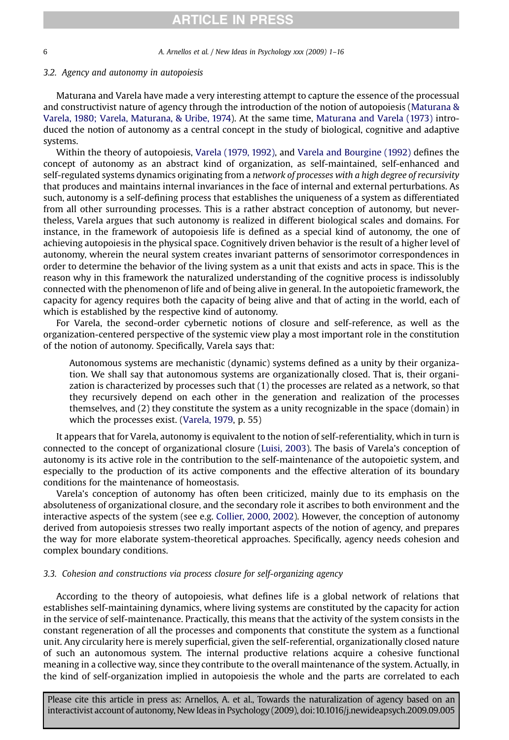<span id="page-5-0"></span>6 A. Arnellos et al. / New Ideas in Psychology xxx (2009) 1–16

#### 3.2. Agency and autonomy in autopoiesis

Maturana and Varela have made a very interesting attempt to capture the essence of the processual and constructivist nature of agency through the introduction of the notion of autopoiesis [\(Maturana &](#page-15-0) [Varela, 1980; Varela, Maturana, & Uribe, 1974](#page-15-0)). At the same time, [Maturana and Varela \(1973\)](#page-15-0) introduced the notion of autonomy as a central concept in the study of biological, cognitive and adaptive systems.

Within the theory of autopoiesis, [Varela \(1979, 1992\),](#page-15-0) and [Varela and Bourgine \(1992\)](#page-15-0) defines the concept of autonomy as an abstract kind of organization, as self-maintained, self-enhanced and self-regulated systems dynamics originating from a network of processes with a high degree of recursivity that produces and maintains internal invariances in the face of internal and external perturbations. As such, autonomy is a self-defining process that establishes the uniqueness of a system as differentiated from all other surrounding processes. This is a rather abstract conception of autonomy, but nevertheless, Varela argues that such autonomy is realized in different biological scales and domains. For instance, in the framework of autopoiesis life is defined as a special kind of autonomy, the one of achieving autopoiesis in the physical space. Cognitively driven behavior is the result of a higher level of autonomy, wherein the neural system creates invariant patterns of sensorimotor correspondences in order to determine the behavior of the living system as a unit that exists and acts in space. This is the reason why in this framework the naturalized understanding of the cognitive process is indissolubly connected with the phenomenon of life and of being alive in general. In the autopoietic framework, the capacity for agency requires both the capacity of being alive and that of acting in the world, each of which is established by the respective kind of autonomy.

For Varela, the second-order cybernetic notions of closure and self-reference, as well as the organization-centered perspective of the systemic view play a most important role in the constitution of the notion of autonomy. Specifically, Varela says that:

Autonomous systems are mechanistic (dynamic) systems defined as a unity by their organization. We shall say that autonomous systems are organizationally closed. That is, their organization is characterized by processes such that (1) the processes are related as a network, so that they recursively depend on each other in the generation and realization of the processes themselves, and (2) they constitute the system as a unity recognizable in the space (domain) in which the processes exist. [\(Varela, 1979](#page-15-0), p. 55)

It appears that for Varela, autonomy is equivalent to the notion of self-referentiality, which in turn is connected to the concept of organizational closure [\(Luisi, 2003\)](#page-15-0). The basis of Varela's conception of autonomy is its active role in the contribution to the self-maintenance of the autopoietic system, and especially to the production of its active components and the effective alteration of its boundary conditions for the maintenance of homeostasis.

Varela's conception of autonomy has often been criticized, mainly due to its emphasis on the absoluteness of organizational closure, and the secondary role it ascribes to both environment and the interactive aspects of the system (see e.g. [Collier, 2000, 2002](#page-14-0)). However, the conception of autonomy derived from autopoiesis stresses two really important aspects of the notion of agency, and prepares the way for more elaborate system-theoretical approaches. Specifically, agency needs cohesion and complex boundary conditions.

#### 3.3. Cohesion and constructions via process closure for self-organizing agency

According to the theory of autopoiesis, what defines life is a global network of relations that establishes self-maintaining dynamics, where living systems are constituted by the capacity for action in the service of self-maintenance. Practically, this means that the activity of the system consists in the constant regeneration of all the processes and components that constitute the system as a functional unit. Any circularity here is merely superficial, given the self-referential, organizationally closed nature of such an autonomous system. The internal productive relations acquire a cohesive functional meaning in a collective way, since they contribute to the overall maintenance of the system. Actually, in the kind of self-organization implied in autopoiesis the whole and the parts are correlated to each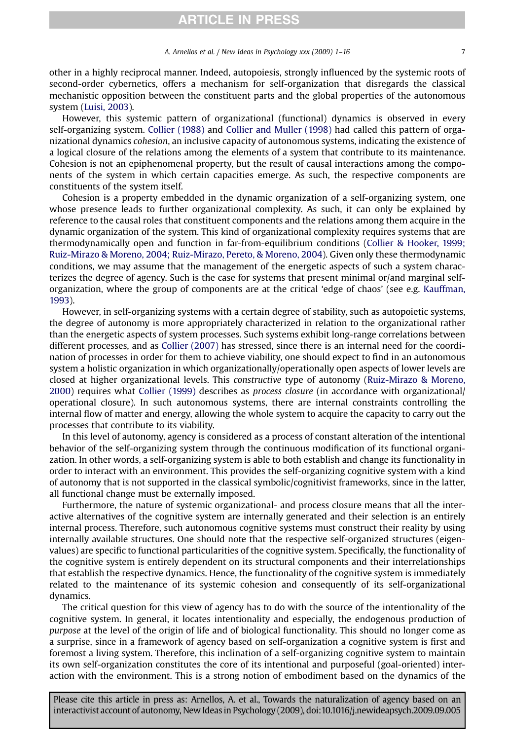#### A. Arnellos et al. / New Ideas in Psychology xxx (2009) 1–16 7

other in a highly reciprocal manner. Indeed, autopoiesis, strongly influenced by the systemic roots of second-order cybernetics, offers a mechanism for self-organization that disregards the classical mechanistic opposition between the constituent parts and the global properties of the autonomous system [\(Luisi, 2003](#page-15-0)).

However, this systemic pattern of organizational (functional) dynamics is observed in every self-organizing system. [Collier \(1988\)](#page-14-0) and [Collier and Muller \(1998\)](#page-14-0) had called this pattern of organizational dynamics cohesion, an inclusive capacity of autonomous systems, indicating the existence of a logical closure of the relations among the elements of a system that contribute to its maintenance. Cohesion is not an epiphenomenal property, but the result of causal interactions among the components of the system in which certain capacities emerge. As such, the respective components are constituents of the system itself.

Cohesion is a property embedded in the dynamic organization of a self-organizing system, one whose presence leads to further organizational complexity. As such, it can only be explained by reference to the causal roles that constituent components and the relations among them acquire in the dynamic organization of the system. This kind of organizational complexity requires systems that are thermodynamically open and function in far-from-equilibrium conditions [\(Collier & Hooker, 1999;](#page-14-0) [Ruiz-Mirazo & Moreno, 2004; Ruiz-Mirazo, Pereto, & Moreno, 2004](#page-14-0)). Given only these thermodynamic conditions, we may assume that the management of the energetic aspects of such a system characterizes the degree of agency. Such is the case for systems that present minimal or/and marginal selforganization, where the group of components are at the critical 'edge of chaos' (see e.g. [Kauffman,](#page-15-0) [1993\)](#page-15-0).

However, in self-organizing systems with a certain degree of stability, such as autopoietic systems, the degree of autonomy is more appropriately characterized in relation to the organizational rather than the energetic aspects of system processes. Such systems exhibit long-range correlations between different processes, and as [Collier \(2007\)](#page-14-0) has stressed, since there is an internal need for the coordination of processes in order for them to achieve viability, one should expect to find in an autonomous system a holistic organization in which organizationally/operationally open aspects of lower levels are closed at higher organizational levels. This constructive type of autonomy ([Ruiz-Mirazo & Moreno,](#page-15-0) [2000\)](#page-15-0) requires what [Collier \(1999\)](#page-14-0) describes as process closure (in accordance with organizational/ operational closure). In such autonomous systems, there are internal constraints controlling the internal flow of matter and energy, allowing the whole system to acquire the capacity to carry out the processes that contribute to its viability.

In this level of autonomy, agency is considered as a process of constant alteration of the intentional behavior of the self-organizing system through the continuous modification of its functional organization. In other words, a self-organizing system is able to both establish and change its functionality in order to interact with an environment. This provides the self-organizing cognitive system with a kind of autonomy that is not supported in the classical symbolic/cognitivist frameworks, since in the latter, all functional change must be externally imposed.

Furthermore, the nature of systemic organizational- and process closure means that all the interactive alternatives of the cognitive system are internally generated and their selection is an entirely internal process. Therefore, such autonomous cognitive systems must construct their reality by using internally available structures. One should note that the respective self-organized structures (eigenvalues) are specific to functional particularities of the cognitive system. Specifically, the functionality of the cognitive system is entirely dependent on its structural components and their interrelationships that establish the respective dynamics. Hence, the functionality of the cognitive system is immediately related to the maintenance of its systemic cohesion and consequently of its self-organizational dynamics.

The critical question for this view of agency has to do with the source of the intentionality of the cognitive system. In general, it locates intentionality and especially, the endogenous production of purpose at the level of the origin of life and of biological functionality. This should no longer come as a surprise, since in a framework of agency based on self-organization a cognitive system is first and foremost a living system. Therefore, this inclination of a self-organizing cognitive system to maintain its own self-organization constitutes the core of its intentional and purposeful (goal-oriented) interaction with the environment. This is a strong notion of embodiment based on the dynamics of the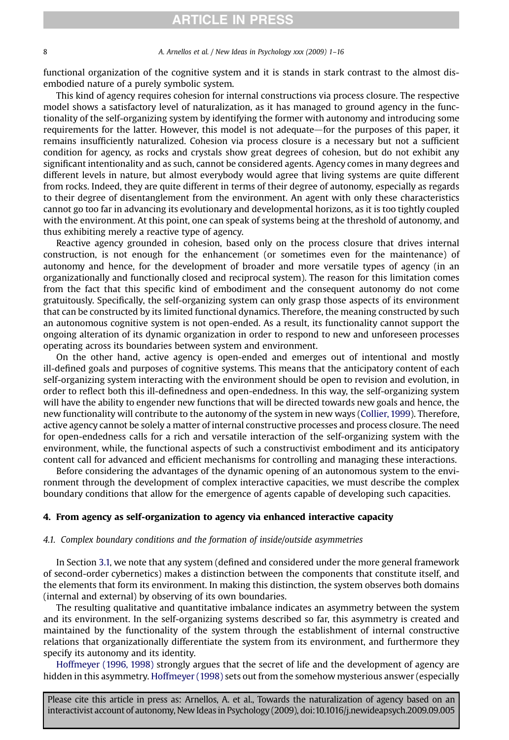#### 8 A. Arnellos et al. / New Ideas in Psychology xxx (2009) 1-16

functional organization of the cognitive system and it is stands in stark contrast to the almost disembodied nature of a purely symbolic system.

This kind of agency requires cohesion for internal constructions via process closure. The respective model shows a satisfactory level of naturalization, as it has managed to ground agency in the functionality of the self-organizing system by identifying the former with autonomy and introducing some requirements for the latter. However, this model is not adequate—for the purposes of this paper, it remains insufficiently naturalized. Cohesion via process closure is a necessary but not a sufficient condition for agency, as rocks and crystals show great degrees of cohesion, but do not exhibit any significant intentionality and as such, cannot be considered agents. Agency comes in many degrees and different levels in nature, but almost everybody would agree that living systems are quite different from rocks. Indeed, they are quite different in terms of their degree of autonomy, especially as regards to their degree of disentanglement from the environment. An agent with only these characteristics cannot go too far in advancing its evolutionary and developmental horizons, as it is too tightly coupled with the environment. At this point, one can speak of systems being at the threshold of autonomy, and thus exhibiting merely a reactive type of agency.

Reactive agency grounded in cohesion, based only on the process closure that drives internal construction, is not enough for the enhancement (or sometimes even for the maintenance) of autonomy and hence, for the development of broader and more versatile types of agency (in an organizationally and functionally closed and reciprocal system). The reason for this limitation comes from the fact that this specific kind of embodiment and the consequent autonomy do not come gratuitously. Specifically, the self-organizing system can only grasp those aspects of its environment that can be constructed by its limited functional dynamics. Therefore, the meaning constructed by such an autonomous cognitive system is not open-ended. As a result, its functionality cannot support the ongoing alteration of its dynamic organization in order to respond to new and unforeseen processes operating across its boundaries between system and environment.

On the other hand, active agency is open-ended and emerges out of intentional and mostly ill-defined goals and purposes of cognitive systems. This means that the anticipatory content of each self-organizing system interacting with the environment should be open to revision and evolution, in order to reflect both this ill-definedness and open-endedness. In this way, the self-organizing system will have the ability to engender new functions that will be directed towards new goals and hence, the new functionality will contribute to the autonomy of the system in new ways ([Collier, 1999](#page-14-0)). Therefore, active agency cannot be solely a matter of internal constructive processes and process closure. The need for open-endedness calls for a rich and versatile interaction of the self-organizing system with the environment, while, the functional aspects of such a constructivist embodiment and its anticipatory content call for advanced and efficient mechanisms for controlling and managing these interactions.

Before considering the advantages of the dynamic opening of an autonomous system to the environment through the development of complex interactive capacities, we must describe the complex boundary conditions that allow for the emergence of agents capable of developing such capacities.

#### 4. From agency as self-organization to agency via enhanced interactive capacity

#### 4.1. Complex boundary conditions and the formation of inside/outside asymmetries

In Section [3.1,](#page-4-0) we note that any system (defined and considered under the more general framework of second-order cybernetics) makes a distinction between the components that constitute itself, and the elements that form its environment. In making this distinction, the system observes both domains (internal and external) by observing of its own boundaries.

The resulting qualitative and quantitative imbalance indicates an asymmetry between the system and its environment. In the self-organizing systems described so far, this asymmetry is created and maintained by the functionality of the system through the establishment of internal constructive relations that organizationally differentiate the system from its environment, and furthermore they specify its autonomy and its identity.

[Hoffmeyer \(1996, 1998\)](#page-15-0) strongly argues that the secret of life and the development of agency are hidden in this asymmetry. [Hoffmeyer \(1998\)](#page-15-0) sets out from the somehow mysterious answer (especially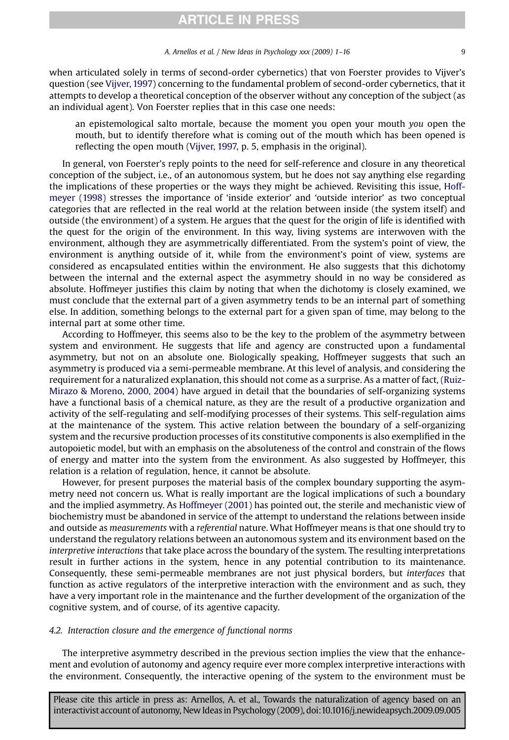<span id="page-8-0"></span>when articulated solely in terms of second-order cybernetics) that von Foerster provides to Vijver's question (see [Vijver, 1997](#page-15-0)) concerning to the fundamental problem of second-order cybernetics, that it attempts to develop a theoretical conception of the observer without any conception of the subject (as an individual agent). Von Foerster replies that in this case one needs:

an epistemological salto mortale, because the moment you open your mouth you open the mouth, but to identify therefore what is coming out of the mouth which has been opened is reflecting the open mouth [\(Vijver, 1997,](#page-15-0) p. 5, emphasis in the original).

In general, von Foerster's reply points to the need for self-reference and closure in any theoretical conception of the subject, i.e., of an autonomous system, but he does not say anything else regarding the implications of these properties or the ways they might be achieved. Revisiting this issue, [Hoff](#page-15-0)[meyer \(1998\)](#page-15-0) stresses the importance of 'inside exterior' and 'outside interior' as two conceptual categories that are reflected in the real world at the relation between inside (the system itself) and outside (the environment) of a system. He argues that the quest for the origin of life is identified with the quest for the origin of the environment. In this way, living systems are interwoven with the environment, although they are asymmetrically differentiated. From the system's point of view, the environment is anything outside of it, while from the environment's point of view, systems are considered as encapsulated entities within the environment. He also suggests that this dichotomy between the internal and the external aspect the asymmetry should in no way be considered as absolute. Hoffmeyer justifies this claim by noting that when the dichotomy is closely examined, we must conclude that the external part of a given asymmetry tends to be an internal part of something else. In addition, something belongs to the external part for a given span of time, may belong to the internal part at some other time.

According to Hoffmeyer, this seems also to be the key to the problem of the asymmetry between system and environment. He suggests that life and agency are constructed upon a fundamental asymmetry, but not on an absolute one. Biologically speaking, Hoffmeyer suggests that such an asymmetry is produced via a semi-permeable membrane. At this level of analysis, and considering the requirement for a naturalized explanation, this should not come as a surprise. As a matter of fact, [\(Ruiz-](#page-15-0)[Mirazo & Moreno, 2000, 2004\)](#page-15-0) have argued in detail that the boundaries of self-organizing systems have a functional basis of a chemical nature, as they are the result of a productive organization and activity of the self-regulating and self-modifying processes of their systems. This self-regulation aims at the maintenance of the system. This active relation between the boundary of a self-organizing system and the recursive production processes of its constitutive components is also exemplified in the autopoietic model, but with an emphasis on the absoluteness of the control and constrain of the flows of energy and matter into the system from the environment. As also suggested by Hoffmeyer, this relation is a relation of regulation, hence, it cannot be absolute.

However, for present purposes the material basis of the complex boundary supporting the asymmetry need not concern us. What is really important are the logical implications of such a boundary and the implied asymmetry. As [Hoffmeyer \(2001\)](#page-15-0) has pointed out, the sterile and mechanistic view of biochemistry must be abandoned in service of the attempt to understand the relations between inside and outside as measurements with a referential nature. What Hoffmeyer means is that one should try to understand the regulatory relations between an autonomous system and its environment based on the interpretive interactions that take place across the boundary of the system. The resulting interpretations result in further actions in the system, hence in any potential contribution to its maintenance. Consequently, these semi-permeable membranes are not just physical borders, but interfaces that function as active regulators of the interpretive interaction with the environment and as such, they have a very important role in the maintenance and the further development of the organization of the cognitive system, and of course, of its agentive capacity.

#### 4.2. Interaction closure and the emergence of functional norms

The interpretive asymmetry described in the previous section implies the view that the enhancement and evolution of autonomy and agency require ever more complex interpretive interactions with the environment. Consequently, the interactive opening of the system to the environment must be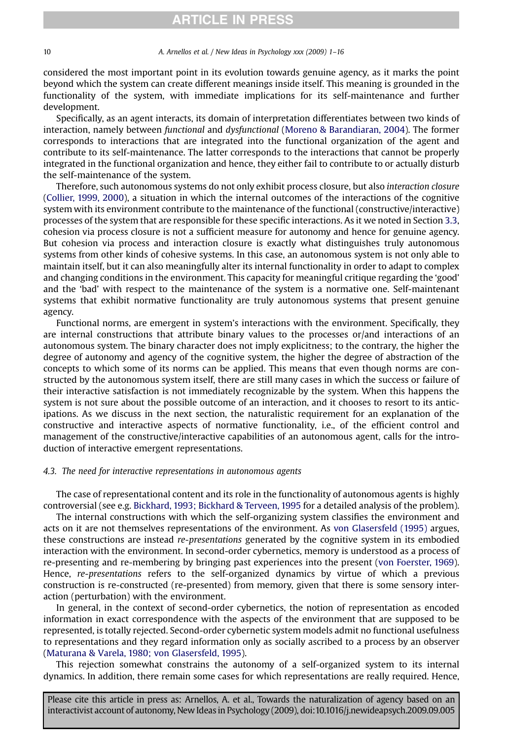considered the most important point in its evolution towards genuine agency, as it marks the point beyond which the system can create different meanings inside itself. This meaning is grounded in the functionality of the system, with immediate implications for its self-maintenance and further development.

Specifically, as an agent interacts, its domain of interpretation differentiates between two kinds of interaction, namely between functional and dysfunctional [\(Moreno & Barandiaran, 2004](#page-15-0)). The former corresponds to interactions that are integrated into the functional organization of the agent and contribute to its self-maintenance. The latter corresponds to the interactions that cannot be properly integrated in the functional organization and hence, they either fail to contribute to or actually disturb the self-maintenance of the system.

Therefore, such autonomous systems do not only exhibit process closure, but also interaction closure ([Collier, 1999, 2000\)](#page-14-0), a situation in which the internal outcomes of the interactions of the cognitive system with its environment contribute to the maintenance of the functional (constructive/interactive) processes of the system that are responsible for these specific interactions. As it we noted in Section [3.3](#page-5-0), cohesion via process closure is not a sufficient measure for autonomy and hence for genuine agency. But cohesion via process and interaction closure is exactly what distinguishes truly autonomous systems from other kinds of cohesive systems. In this case, an autonomous system is not only able to maintain itself, but it can also meaningfully alter its internal functionality in order to adapt to complex and changing conditions in the environment. This capacity for meaningful critique regarding the 'good' and the 'bad' with respect to the maintenance of the system is a normative one. Self-maintenant systems that exhibit normative functionality are truly autonomous systems that present genuine agency.

Functional norms, are emergent in system's interactions with the environment. Specifically, they are internal constructions that attribute binary values to the processes or/and interactions of an autonomous system. The binary character does not imply explicitness; to the contrary, the higher the degree of autonomy and agency of the cognitive system, the higher the degree of abstraction of the concepts to which some of its norms can be applied. This means that even though norms are constructed by the autonomous system itself, there are still many cases in which the success or failure of their interactive satisfaction is not immediately recognizable by the system. When this happens the system is not sure about the possible outcome of an interaction, and it chooses to resort to its anticipations. As we discuss in the next section, the naturalistic requirement for an explanation of the constructive and interactive aspects of normative functionality, i.e., of the efficient control and management of the constructive/interactive capabilities of an autonomous agent, calls for the introduction of interactive emergent representations.

#### 4.3. The need for interactive representations in autonomous agents

The case of representational content and its role in the functionality of autonomous agents is highly controversial (see e.g. [Bickhard, 1993; Bickhard & Terveen, 1995](#page-14-0) for a detailed analysis of the problem).

The internal constructions with which the self-organizing system classifies the environment and acts on it are not themselves representations of the environment. As [von Glasersfeld \(1995\)](#page-15-0) argues, these constructions are instead *re-presentations* generated by the cognitive system in its embodied interaction with the environment. In second-order cybernetics, memory is understood as a process of re-presenting and re-membering by bringing past experiences into the present ([von Foerster, 1969](#page-15-0)). Hence, re-presentations refers to the self-organized dynamics by virtue of which a previous construction is re-constructed (re-presented) from memory, given that there is some sensory interaction (perturbation) with the environment.

In general, in the context of second-order cybernetics, the notion of representation as encoded information in exact correspondence with the aspects of the environment that are supposed to be represented, is totally rejected. Second-order cybernetic system models admit no functional usefulness to representations and they regard information only as socially ascribed to a process by an observer ([Maturana & Varela, 1980; von Glasersfeld, 1995\)](#page-15-0).

This rejection somewhat constrains the autonomy of a self-organized system to its internal dynamics. In addition, there remain some cases for which representations are really required. Hence,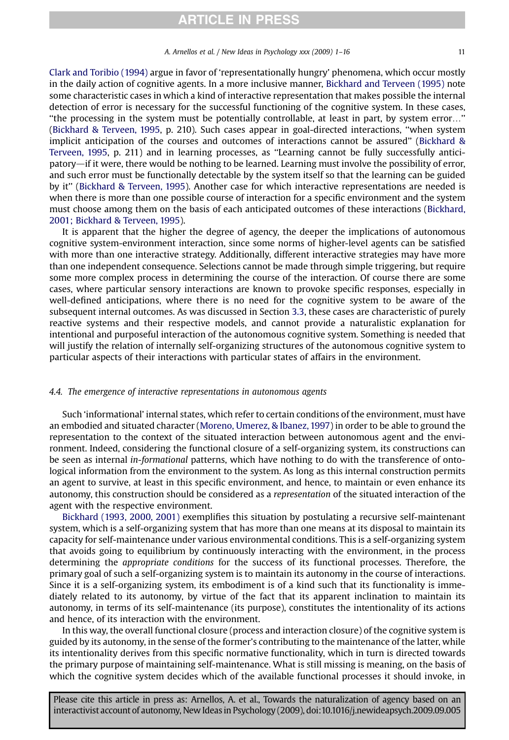#### A. Arnellos et al. / New Ideas in Psychology xxx (2009) 1–16 11

[Clark and Toribio \(1994\)](#page-14-0) argue in favor of 'representationally hungry' phenomena, which occur mostly in the daily action of cognitive agents. In a more inclusive manner, [Bickhard and Terveen \(1995\)](#page-14-0) note some characteristic cases in which a kind of interactive representation that makes possible the internal detection of error is necessary for the successful functioning of the cognitive system. In these cases, ''the processing in the system must be potentially controllable, at least in part, by system error.'' [\(Bickhard & Terveen, 1995](#page-14-0), p. 210). Such cases appear in goal-directed interactions, ''when system implicit anticipation of the courses and outcomes of interactions cannot be assured'' [\(Bickhard &](#page-14-0) [Terveen, 1995,](#page-14-0) p. 211) and in learning processes, as ''Learning cannot be fully successfully anticipatory—if it were, there would be nothing to be learned. Learning must involve the possibility of error, and such error must be functionally detectable by the system itself so that the learning can be guided by it'' ([Bickhard & Terveen, 1995](#page-14-0)). Another case for which interactive representations are needed is when there is more than one possible course of interaction for a specific environment and the system must choose among them on the basis of each anticipated outcomes of these interactions ([Bickhard,](#page-14-0) [2001; Bickhard & Terveen, 1995](#page-14-0)).

It is apparent that the higher the degree of agency, the deeper the implications of autonomous cognitive system-environment interaction, since some norms of higher-level agents can be satisfied with more than one interactive strategy. Additionally, different interactive strategies may have more than one independent consequence. Selections cannot be made through simple triggering, but require some more complex process in determining the course of the interaction. Of course there are some cases, where particular sensory interactions are known to provoke specific responses, especially in well-defined anticipations, where there is no need for the cognitive system to be aware of the subsequent internal outcomes. As was discussed in Section [3.3,](#page-5-0) these cases are characteristic of purely reactive systems and their respective models, and cannot provide a naturalistic explanation for intentional and purposeful interaction of the autonomous cognitive system. Something is needed that will justify the relation of internally self-organizing structures of the autonomous cognitive system to particular aspects of their interactions with particular states of affairs in the environment.

#### 4.4. The emergence of interactive representations in autonomous agents

Such 'informational' internal states, which refer to certain conditions of the environment, must have an embodied and situated character ([Moreno, Umerez, & Ibanez, 1997](#page-15-0)) in order to be able to ground the representation to the context of the situated interaction between autonomous agent and the environment. Indeed, considering the functional closure of a self-organizing system, its constructions can be seen as internal in-formational patterns, which have nothing to do with the transference of ontological information from the environment to the system. As long as this internal construction permits an agent to survive, at least in this specific environment, and hence, to maintain or even enhance its autonomy, this construction should be considered as a representation of the situated interaction of the agent with the respective environment.

[Bickhard \(1993, 2000, 2001\)](#page-14-0) exemplifies this situation by postulating a recursive self-maintenant system, which is a self-organizing system that has more than one means at its disposal to maintain its capacity for self-maintenance under various environmental conditions. This is a self-organizing system that avoids going to equilibrium by continuously interacting with the environment, in the process determining the appropriate conditions for the success of its functional processes. Therefore, the primary goal of such a self-organizing system is to maintain its autonomy in the course of interactions. Since it is a self-organizing system, its embodiment is of a kind such that its functionality is immediately related to its autonomy, by virtue of the fact that its apparent inclination to maintain its autonomy, in terms of its self-maintenance (its purpose), constitutes the intentionality of its actions and hence, of its interaction with the environment.

In this way, the overall functional closure (process and interaction closure) of the cognitive system is guided by its autonomy, in the sense of the former's contributing to the maintenance of the latter, while its intentionality derives from this specific normative functionality, which in turn is directed towards the primary purpose of maintaining self-maintenance. What is still missing is meaning, on the basis of which the cognitive system decides which of the available functional processes it should invoke, in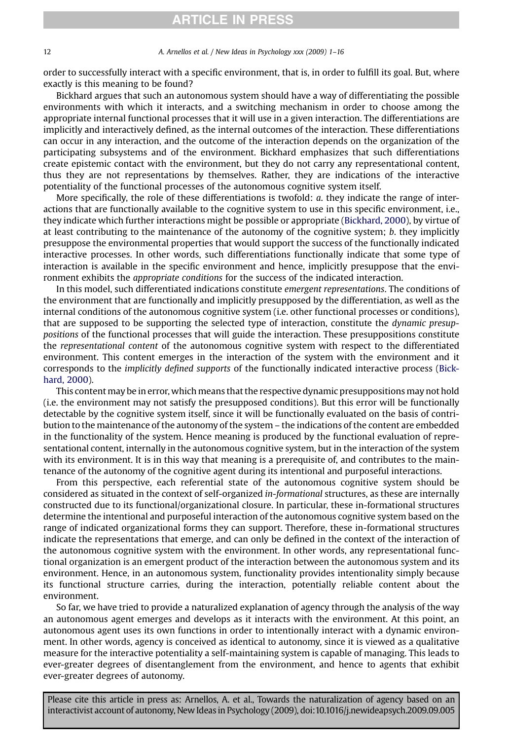#### 12 A. Arnellos et al. / New Ideas in Psychology xxx (2009) 1–16

order to successfully interact with a specific environment, that is, in order to fulfill its goal. But, where exactly is this meaning to be found?

Bickhard argues that such an autonomous system should have a way of differentiating the possible environments with which it interacts, and a switching mechanism in order to choose among the appropriate internal functional processes that it will use in a given interaction. The differentiations are implicitly and interactively defined, as the internal outcomes of the interaction. These differentiations can occur in any interaction, and the outcome of the interaction depends on the organization of the participating subsystems and of the environment. Bickhard emphasizes that such differentiations create epistemic contact with the environment, but they do not carry any representational content, thus they are not representations by themselves. Rather, they are indications of the interactive potentiality of the functional processes of the autonomous cognitive system itself.

More specifically, the role of these differentiations is twofold: a. they indicate the range of interactions that are functionally available to the cognitive system to use in this specific environment, i.e., they indicate which further interactions might be possible or appropriate ([Bickhard, 2000](#page-14-0)), by virtue of at least contributing to the maintenance of the autonomy of the cognitive system; b. they implicitly presuppose the environmental properties that would support the success of the functionally indicated interactive processes. In other words, such differentiations functionally indicate that some type of interaction is available in the specific environment and hence, implicitly presuppose that the environment exhibits the appropriate conditions for the success of the indicated interaction.

In this model, such differentiated indications constitute emergent representations. The conditions of the environment that are functionally and implicitly presupposed by the differentiation, as well as the internal conditions of the autonomous cognitive system (i.e. other functional processes or conditions), that are supposed to be supporting the selected type of interaction, constitute the dynamic presuppositions of the functional processes that will guide the interaction. These presuppositions constitute the representational content of the autonomous cognitive system with respect to the differentiated environment. This content emerges in the interaction of the system with the environment and it corresponds to the implicitly defined supports of the functionally indicated interactive process ([Bick](#page-14-0)[hard, 2000](#page-14-0)).

This content may be in error, which means that the respective dynamic presuppositions may not hold (i.e. the environment may not satisfy the presupposed conditions). But this error will be functionally detectable by the cognitive system itself, since it will be functionally evaluated on the basis of contribution to the maintenance of the autonomy of the system – the indications of the content are embedded in the functionality of the system. Hence meaning is produced by the functional evaluation of representational content, internally in the autonomous cognitive system, but in the interaction of the system with its environment. It is in this way that meaning is a prerequisite of, and contributes to the maintenance of the autonomy of the cognitive agent during its intentional and purposeful interactions.

From this perspective, each referential state of the autonomous cognitive system should be considered as situated in the context of self-organized in-formational structures, as these are internally constructed due to its functional/organizational closure. In particular, these in-formational structures determine the intentional and purposeful interaction of the autonomous cognitive system based on the range of indicated organizational forms they can support. Therefore, these in-formational structures indicate the representations that emerge, and can only be defined in the context of the interaction of the autonomous cognitive system with the environment. In other words, any representational functional organization is an emergent product of the interaction between the autonomous system and its environment. Hence, in an autonomous system, functionality provides intentionality simply because its functional structure carries, during the interaction, potentially reliable content about the environment.

So far, we have tried to provide a naturalized explanation of agency through the analysis of the way an autonomous agent emerges and develops as it interacts with the environment. At this point, an autonomous agent uses its own functions in order to intentionally interact with a dynamic environment. In other words, agency is conceived as identical to autonomy, since it is viewed as a qualitative measure for the interactive potentiality a self-maintaining system is capable of managing. This leads to ever-greater degrees of disentanglement from the environment, and hence to agents that exhibit ever-greater degrees of autonomy.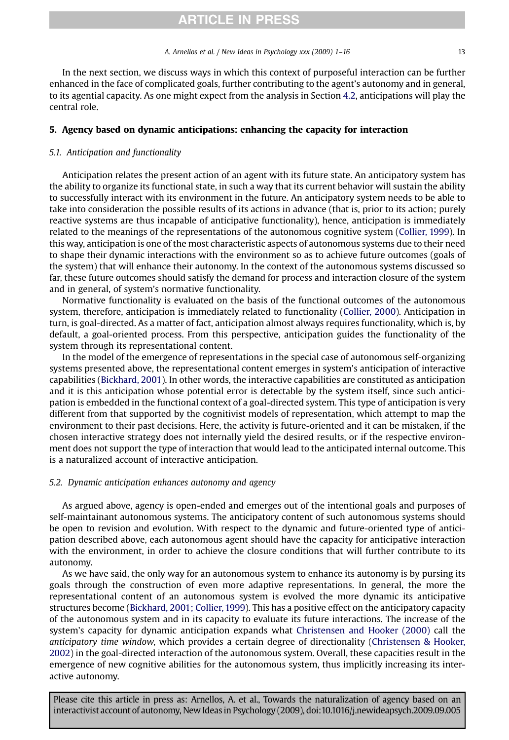In the next section, we discuss ways in which this context of purposeful interaction can be further enhanced in the face of complicated goals, further contributing to the agent's autonomy and in general, to its agential capacity. As one might expect from the analysis in Section [4.2,](#page-8-0) anticipations will play the central role.

#### 5. Agency based on dynamic anticipations: enhancing the capacity for interaction

#### 5.1. Anticipation and functionality

Anticipation relates the present action of an agent with its future state. An anticipatory system has the ability to organize its functional state, in such a way that its current behavior will sustain the ability to successfully interact with its environment in the future. An anticipatory system needs to be able to take into consideration the possible results of its actions in advance (that is, prior to its action; purely reactive systems are thus incapable of anticipative functionality), hence, anticipation is immediately related to the meanings of the representations of the autonomous cognitive system ([Collier, 1999](#page-14-0)). In this way, anticipation is one of the most characteristic aspects of autonomous systems due to their need to shape their dynamic interactions with the environment so as to achieve future outcomes (goals of the system) that will enhance their autonomy. In the context of the autonomous systems discussed so far, these future outcomes should satisfy the demand for process and interaction closure of the system and in general, of system's normative functionality.

Normative functionality is evaluated on the basis of the functional outcomes of the autonomous system, therefore, anticipation is immediately related to functionality ([Collier, 2000\)](#page-14-0). Anticipation in turn, is goal-directed. As a matter of fact, anticipation almost always requires functionality, which is, by default, a goal-oriented process. From this perspective, anticipation guides the functionality of the system through its representational content.

In the model of the emergence of representations in the special case of autonomous self-organizing systems presented above, the representational content emerges in system's anticipation of interactive capabilities ([Bickhard, 2001\)](#page-14-0). In other words, the interactive capabilities are constituted as anticipation and it is this anticipation whose potential error is detectable by the system itself, since such anticipation is embedded in the functional context of a goal-directed system. This type of anticipation is very different from that supported by the cognitivist models of representation, which attempt to map the environment to their past decisions. Here, the activity is future-oriented and it can be mistaken, if the chosen interactive strategy does not internally yield the desired results, or if the respective environment does not support the type of interaction that would lead to the anticipated internal outcome. This is a naturalized account of interactive anticipation.

#### 5.2. Dynamic anticipation enhances autonomy and agency

As argued above, agency is open-ended and emerges out of the intentional goals and purposes of self-maintainant autonomous systems. The anticipatory content of such autonomous systems should be open to revision and evolution. With respect to the dynamic and future-oriented type of anticipation described above, each autonomous agent should have the capacity for anticipative interaction with the environment, in order to achieve the closure conditions that will further contribute to its autonomy.

As we have said, the only way for an autonomous system to enhance its autonomy is by pursing its goals through the construction of even more adaptive representations. In general, the more the representational content of an autonomous system is evolved the more dynamic its anticipative structures become [\(Bickhard, 2001; Collier, 1999](#page-14-0)). This has a positive effect on the anticipatory capacity of the autonomous system and in its capacity to evaluate its future interactions. The increase of the system's capacity for dynamic anticipation expands what [Christensen and Hooker \(2000\)](#page-14-0) call the anticipatory time window, which provides a certain degree of directionality [\(Christensen & Hooker,](#page-14-0) [2002\)](#page-14-0) in the goal-directed interaction of the autonomous system. Overall, these capacities result in the emergence of new cognitive abilities for the autonomous system, thus implicitly increasing its interactive autonomy.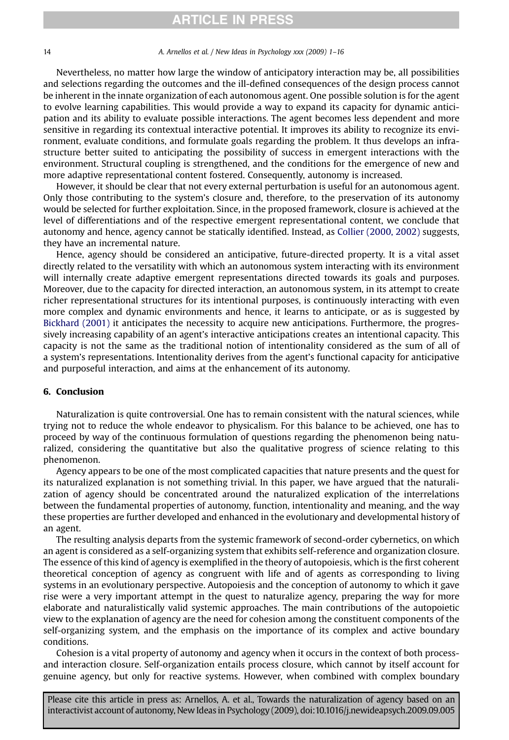#### 14 A. Arnellos et al. / New Ideas in Psychology xxx (2009) 1–16

Nevertheless, no matter how large the window of anticipatory interaction may be, all possibilities and selections regarding the outcomes and the ill-defined consequences of the design process cannot be inherent in the innate organization of each autonomous agent. One possible solution is for the agent to evolve learning capabilities. This would provide a way to expand its capacity for dynamic anticipation and its ability to evaluate possible interactions. The agent becomes less dependent and more sensitive in regarding its contextual interactive potential. It improves its ability to recognize its environment, evaluate conditions, and formulate goals regarding the problem. It thus develops an infrastructure better suited to anticipating the possibility of success in emergent interactions with the environment. Structural coupling is strengthened, and the conditions for the emergence of new and more adaptive representational content fostered. Consequently, autonomy is increased.

However, it should be clear that not every external perturbation is useful for an autonomous agent. Only those contributing to the system's closure and, therefore, to the preservation of its autonomy would be selected for further exploitation. Since, in the proposed framework, closure is achieved at the level of differentiations and of the respective emergent representational content, we conclude that autonomy and hence, agency cannot be statically identified. Instead, as [Collier \(2000, 2002\)](#page-14-0) suggests, they have an incremental nature.

Hence, agency should be considered an anticipative, future-directed property. It is a vital asset directly related to the versatility with which an autonomous system interacting with its environment will internally create adaptive emergent representations directed towards its goals and purposes. Moreover, due to the capacity for directed interaction, an autonomous system, in its attempt to create richer representational structures for its intentional purposes, is continuously interacting with even more complex and dynamic environments and hence, it learns to anticipate, or as is suggested by [Bickhard \(2001\)](#page-14-0) it anticipates the necessity to acquire new anticipations. Furthermore, the progressively increasing capability of an agent's interactive anticipations creates an intentional capacity. This capacity is not the same as the traditional notion of intentionality considered as the sum of all of a system's representations. Intentionality derives from the agent's functional capacity for anticipative and purposeful interaction, and aims at the enhancement of its autonomy.

#### 6. Conclusion

Naturalization is quite controversial. One has to remain consistent with the natural sciences, while trying not to reduce the whole endeavor to physicalism. For this balance to be achieved, one has to proceed by way of the continuous formulation of questions regarding the phenomenon being naturalized, considering the quantitative but also the qualitative progress of science relating to this phenomenon.

Agency appears to be one of the most complicated capacities that nature presents and the quest for its naturalized explanation is not something trivial. In this paper, we have argued that the naturalization of agency should be concentrated around the naturalized explication of the interrelations between the fundamental properties of autonomy, function, intentionality and meaning, and the way these properties are further developed and enhanced in the evolutionary and developmental history of an agent.

The resulting analysis departs from the systemic framework of second-order cybernetics, on which an agent is considered as a self-organizing system that exhibits self-reference and organization closure. The essence of this kind of agency is exemplified in the theory of autopoiesis, which is the first coherent theoretical conception of agency as congruent with life and of agents as corresponding to living systems in an evolutionary perspective. Autopoiesis and the conception of autonomy to which it gave rise were a very important attempt in the quest to naturalize agency, preparing the way for more elaborate and naturalistically valid systemic approaches. The main contributions of the autopoietic view to the explanation of agency are the need for cohesion among the constituent components of the self-organizing system, and the emphasis on the importance of its complex and active boundary conditions.

Cohesion is a vital property of autonomy and agency when it occurs in the context of both processand interaction closure. Self-organization entails process closure, which cannot by itself account for genuine agency, but only for reactive systems. However, when combined with complex boundary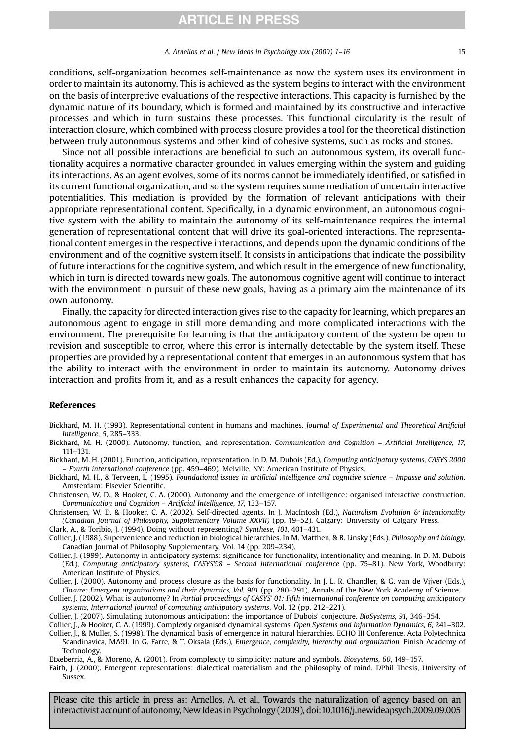#### A. Arnellos et al. / New Ideas in Psychology xxx (2009) 1–16 15

<span id="page-14-0"></span>conditions, self-organization becomes self-maintenance as now the system uses its environment in order to maintain its autonomy. This is achieved as the system begins to interact with the environment on the basis of interpretive evaluations of the respective interactions. This capacity is furnished by the dynamic nature of its boundary, which is formed and maintained by its constructive and interactive processes and which in turn sustains these processes. This functional circularity is the result of interaction closure, which combined with process closure provides a tool for the theoretical distinction between truly autonomous systems and other kind of cohesive systems, such as rocks and stones.

Since not all possible interactions are beneficial to such an autonomous system, its overall functionality acquires a normative character grounded in values emerging within the system and guiding its interactions. As an agent evolves, some of its norms cannot be immediately identified, or satisfied in its current functional organization, and so the system requires some mediation of uncertain interactive potentialities. This mediation is provided by the formation of relevant anticipations with their appropriate representational content. Specifically, in a dynamic environment, an autonomous cognitive system with the ability to maintain the autonomy of its self-maintenance requires the internal generation of representational content that will drive its goal-oriented interactions. The representational content emerges in the respective interactions, and depends upon the dynamic conditions of the environment and of the cognitive system itself. It consists in anticipations that indicate the possibility of future interactions for the cognitive system, and which result in the emergence of new functionality, which in turn is directed towards new goals. The autonomous cognitive agent will continue to interact with the environment in pursuit of these new goals, having as a primary aim the maintenance of its own autonomy.

Finally, the capacity for directed interaction gives rise to the capacity for learning, which prepares an autonomous agent to engage in still more demanding and more complicated interactions with the environment. The prerequisite for learning is that the anticipatory content of the system be open to revision and susceptible to error, where this error is internally detectable by the system itself. These properties are provided by a representational content that emerges in an autonomous system that has the ability to interact with the environment in order to maintain its autonomy. Autonomy drives interaction and profits from it, and as a result enhances the capacity for agency.

#### References

- Bickhard, M. H. (1993). Representational content in humans and machines. Journal of Experimental and Theoretical Artificial Intelligence, 5, 285–333.
- Bickhard, M. H. (2000). Autonomy, function, and representation. Communication and Cognition Artificial Intelligence, 17, 111–131.
- Bickhard, M. H. (2001). Function, anticipation, representation. In D. M. Dubois (Ed.), Computing anticipatory systems, CASYS 2000 – Fourth international conference (pp. 459–469). Melville, NY: American Institute of Physics.
- Bickhard, M. H., & Terveen, L. (1995). Foundational issues in artificial intelligence and cognitive science Impasse and solution. Amsterdam: Elsevier Scientific.
- Christensen, W. D., & Hooker, C. A. (2000). Autonomy and the emergence of intelligence: organised interactive construction. Communication and Cognition – Artificial Intelligence, 17, 133–157.
- Christensen, W. D. & Hooker, C. A. (2002). Self-directed agents. In J. MacIntosh (Ed.), Naturalism Evolution & Intentionality (Canadian Journal of Philosophy, Supplementary Volume XXVII) (pp. 19–52). Calgary: University of Calgary Press. Clark, A., & Toribio, J. (1994). Doing without representing? Synthese, 101, 401–431.
- Collier, J. (1988). Supervenience and reduction in biological hierarchies. In M. Matthen, & B. Linsky (Eds.), Philosophy and biology.
- Canadian Journal of Philosophy Supplementary, Vol. 14 (pp. 209–234). Collier, J. (1999). Autonomy in anticipatory systems: significance for functionality, intentionality and meaning. In D. M. Dubois (Ed.), Computing anticipatory systems, CASYS'98 – Second international conference (pp. 75–81). New York, Woodbury:
- American Institute of Physics. Collier, J. (2000). Autonomy and process closure as the basis for functionality. In J. L. R. Chandler, & G. van de Vijver (Eds.),
- Closure: Emergent organizations and their dynamics, Vol. 901 (pp. 280–291). Annals of the New York Academy of Science. Collier, J. (2002). What is autonomy? In Partial proceedings of CASYS' 01: Fifth international conference on computing anticipatory

systems, International journal of computing anticipatory systems. Vol. 12 (pp. 212–221).

Collier, J. (2007). Simulating autonomous anticipation: the importance of Dubois' conjecture. BioSystems, 91, 346–354.

- Collier, J., & Hooker, C. A. (1999). Complexly organised dynamical systems. Open Systems and Information Dynamics, 6, 241–302. Collier, J., & Muller, S. (1998). The dynamical basis of emergence in natural hierarchies. ECHO III Conference, Acta Polytechnica Scandinavica, MA91. In G. Farre, & T. Oksala (Eds.), Emergence, complexity, hierarchy and organization. Finish Academy of Technology.
- Etxeberria, A., & Moreno, A. (2001). From complexity to simplicity: nature and symbols. Biosystems, 60, 149–157.
- Faith, J. (2000). Emergent representations: dialectical materialism and the philosophy of mind. DPhil Thesis, University of Sussex.